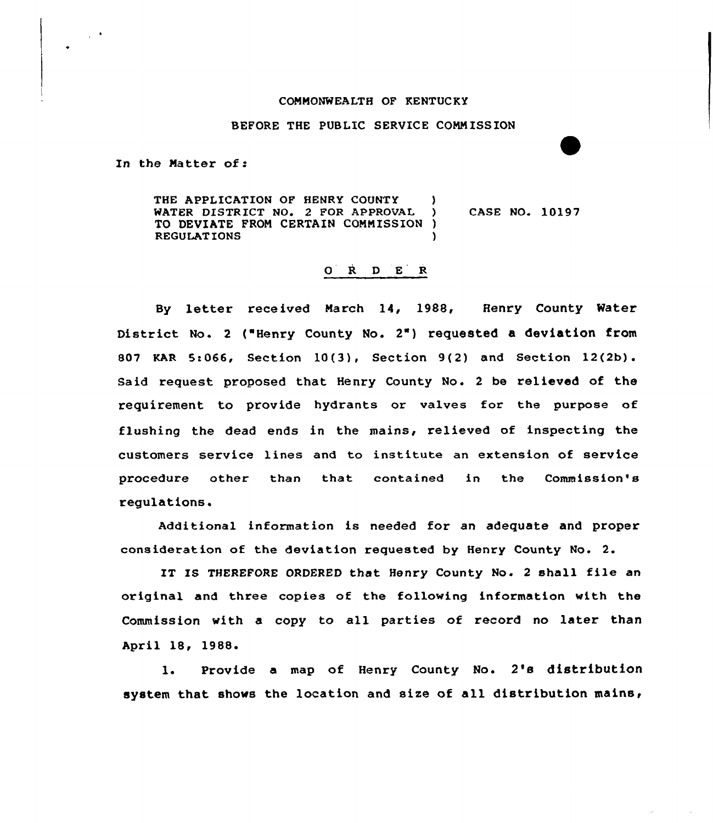## COMMONWEALTH OF KENTUCKY

BEFORE THE PUBLIC SERVICE COMMISSION

In the Matter of <sup>s</sup>

 $\sim 10^4$ 

THE APPLICATION OF HENRY COUNTY )<br>WATER DISTRICT NO. 2 FOR APPROVAL ) WATER DISTRICT NO. 2 FOR APPROVAL ) CASE NO. 10197 TO DEVIATE FROM CERTAIN COMMISSION ) **REGULATIONS** 

## 0 R <sup>D</sup> E R

By letter received March 14, 1988, Henry County Water District No. 2 ("Henry County No. 2") requested a deviation from 807 KAR Sr,066, Section 10(3), Section 9(2) and Section 12(2b). Said request proposed that Henry County No. <sup>2</sup> be relieved of the requirement to provide hydrants or valves for the purpose of flushing the dead ends in the mains, relieved of inspecting the customers service lines and to institute an extension of service procedure other than that contained in the Commission's regulations.

Additional information is needed for an adequate and proper consideration of the deviation requested by Henry County No. 2.

IT IS THEREFORE ORDERED that Henry County No. 2 shall file an original and three copies of the following information with the Commission with a copy to all parties of record no later than April 18, 1988

 $1.$ Provide a map of Henry County No. 2's distribution system that shows the location and size of all distribution mains,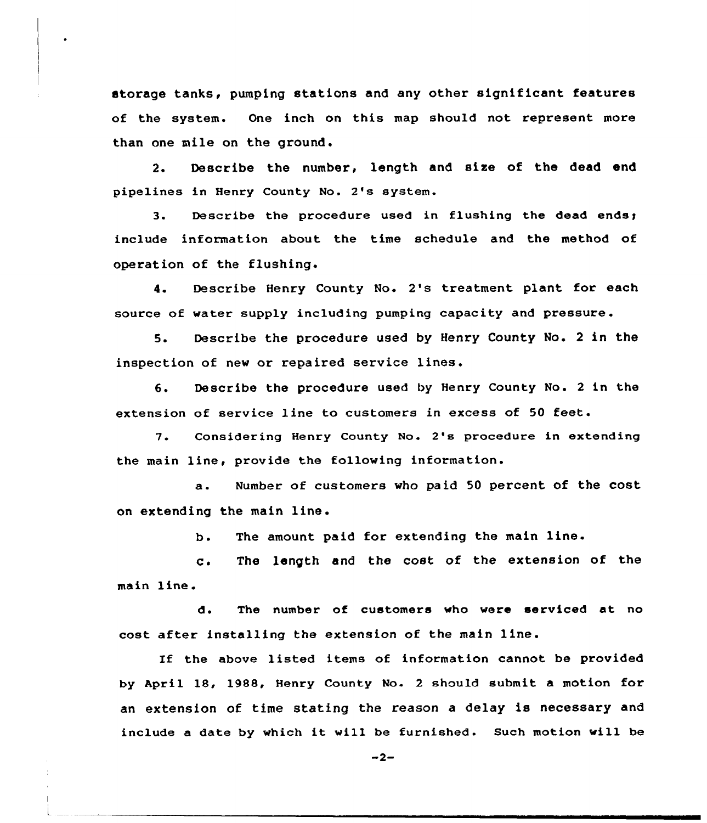storage tanks, pumping stations and any other significant features of the system. One inch on this map should not represent more than one mile on the ground.

2. Describe the number, length and size of the dead end pipelines in Henry County No. 2's system.

3. Describe the procedure used in flushing the dead include information about the time schedule and the method of operation of the flushing.

4. Describe Henry County No. 2's treatment plant for each source of vater supply including pumping capacity and pressure .

5. Describe the procedure used by Henry County No. <sup>2</sup> in the inspection of new or repaired service lines.

6. Describe the procedure used by Henry County No. <sup>2</sup> in the extension of service line to customers in excess of 50 feet.

7. Considering Henry County No. 2's procedure in extending the main line, provide the folloving information.

a. Number of customers who paid <sup>50</sup> percent of the cost on extending the main line.

> $b$ . The amount paid for extending the main line.

main line.  $C$ . The length and the cost of the extension of the

d. The number of customers vho vere serviced at no cost after installing the extension of the main line.

If the above listed items of information cannot be provided by April 18, 1988, Henry County No. <sup>2</sup> should submit a motion for an extension of time stating the reason a delay is necessary and include <sup>a</sup> date by which it will be furnished. Such motion vill be

 $-2-$